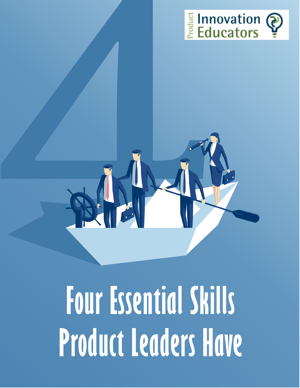



## **Four Essential Skills Product Leaders Have**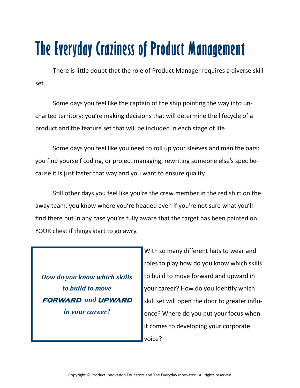## **The Everyday Craziness of Product Management**

There is little doubt that the role of Product Manager requires a diverse skill set.

Some days you feel like the captain of the ship pointing the way into uncharted territory: you're making decisions that will determine the lifecycle of a product and the feature set that will be included in each stage of life.

Some days you feel like you need to roll up your sleeves and man the oars: you find yourself coding, or project managing, rewriting someone else's spec because it is just faster that way and you want to ensure quality.

Still other days you feel like you're the crew member in the red shirt on the away team: you know where you're headed even if you're not sure what you'll find there but in any case you're fully aware that the target has been painted on YOUR chest if things start to go awry.

*How do you know which skills to build to move*  **forward** *and* **upward** *in your career?* 

With so many different hats to wear and roles to play how do you know which skills to build to move forward and upward in your career? How do you identify which skill set will open the door to greater influence? Where do you put your focus when it comes to developing your corporate voice?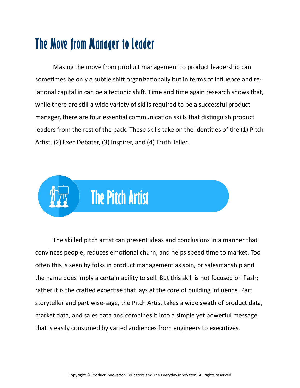## **The Move from Manager to Leader**

Making the move from product management to product leadership can sometimes be only a subtle shift organizationally but in terms of influence and relational capital in can be a tectonic shift. Time and time again research shows that, while there are still a wide variety of skills required to be a successful product manager, there are four essential communication skills that distinguish product leaders from the rest of the pack. These skills take on the identities of the (1) Pitch Artist, (2) Exec Debater, (3) Inspirer, and (4) Truth Teller.



The skilled pitch artist can present ideas and conclusions in a manner that convinces people, reduces emotional churn, and helps speed time to market. Too often this is seen by folks in product management as spin, or salesmanship and the name does imply a certain ability to sell. But this skill is not focused on flash; rather it is the crafted expertise that lays at the core of building influence. Part storyteller and part wise-sage, the Pitch Artist takes a wide swath of product data, market data, and sales data and combines it into a simple yet powerful message that is easily consumed by varied audiences from engineers to executives.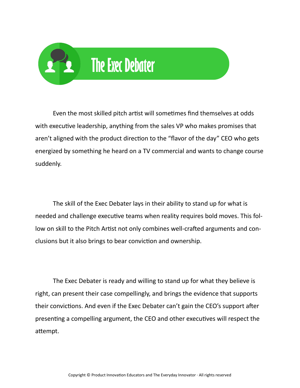

Even the most skilled pitch artist will sometimes find themselves at odds with executive leadership, anything from the sales VP who makes promises that aren't aligned with the product direction to the "flavor of the day" CEO who gets energized by something he heard on a TV commercial and wants to change course suddenly.

The skill of the Exec Debater lays in their ability to stand up for what is needed and challenge executive teams when reality requires bold moves. This follow on skill to the Pitch Artist not only combines well-crafted arguments and conclusions but it also brings to bear conviction and ownership.

The Exec Debater is ready and willing to stand up for what they believe is right, can present their case compellingly, and brings the evidence that supports their convictions. And even if the Exec Debater can't gain the CEO's support after presenting a compelling argument, the CEO and other executives will respect the attempt.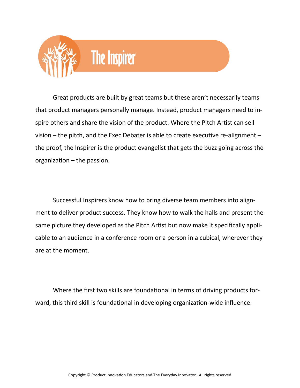

Great products are built by great teams but these aren't necessarily teams that product managers personally manage. Instead, product managers need to inspire others and share the vision of the product. Where the Pitch Artist can sell vision – the pitch, and the Exec Debater is able to create executive re-alignment – the proof, the Inspirer is the product evangelist that gets the buzz going across the organization – the passion.

Successful Inspirers know how to bring diverse team members into alignment to deliver product success. They know how to walk the halls and present the same picture they developed as the Pitch Artist but now make it specifically applicable to an audience in a conference room or a person in a cubical, wherever they are at the moment.

Where the first two skills are foundational in terms of driving products forward, this third skill is foundational in developing organization-wide influence.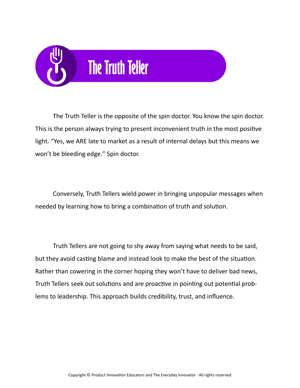

The Truth Teller is the opposite of the spin doctor. You know the spin doctor. This is the person always trying to present inconvenient truth in the most positive light. "Yes, we ARE late to market as a result of internal delays but this means we won't be bleeding edge." Spin doctor.

Conversely, Truth Tellers wield power in bringing unpopular messages when needed by learning how to bring a combination of truth and solution.

Truth Tellers are not going to shy away from saying what needs to be said, but they avoid casting blame and instead look to make the best of the situation. Rather than cowering in the corner hoping they won't have to deliver bad news, Truth Tellers seek out solutions and are proactive in pointing out potential problems to leadership. This approach builds credibility, trust, and influence.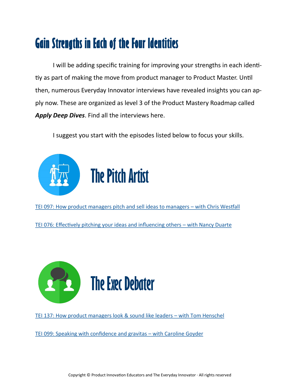## **Gain Strengths in Each of the Four Identities**

I will be adding specific training for improving your strengths in each identitiy as part of making the move from product manager to Product Master. Until then, numerous Everyday Innovator interviews have revealed insights you can apply now. These are organized as level 3 of the Product Mastery Roadmap called *Apply Deep Dives*. Find all the interviews here.

I suggest you start with the episodes listed below to focus your skills.



[TEI 097: How product managers pitch and sell ideas to managers –](https://productinnovationeducators.com/blog/tei-097-how-product-managers-pitch-and-sell-ideas-to-managers-with-chris-westfall/) with Chris Westfall

[TEI 076: Effectively pitching your ideas and influencing others –](https://productinnovationeducators.com/blog/tei-076-effectively-pitching-your-ideas-and-influencing-others-with-nancy-duarte/) with Nancy Duarte



[TEI 137: How product managers look & sound like leaders –](https://productinnovationeducators.com/blog/tei-137-how-product-managers-look-sound-like-leaders-with-tom-henschel/) with Tom Henschel

[TEI 099: Speaking with confidence and gravitas –](https://productinnovationeducators.com/blog/tei-099-speaking-with-confidence-with-caroline-goyder/) with Caroline Goyder